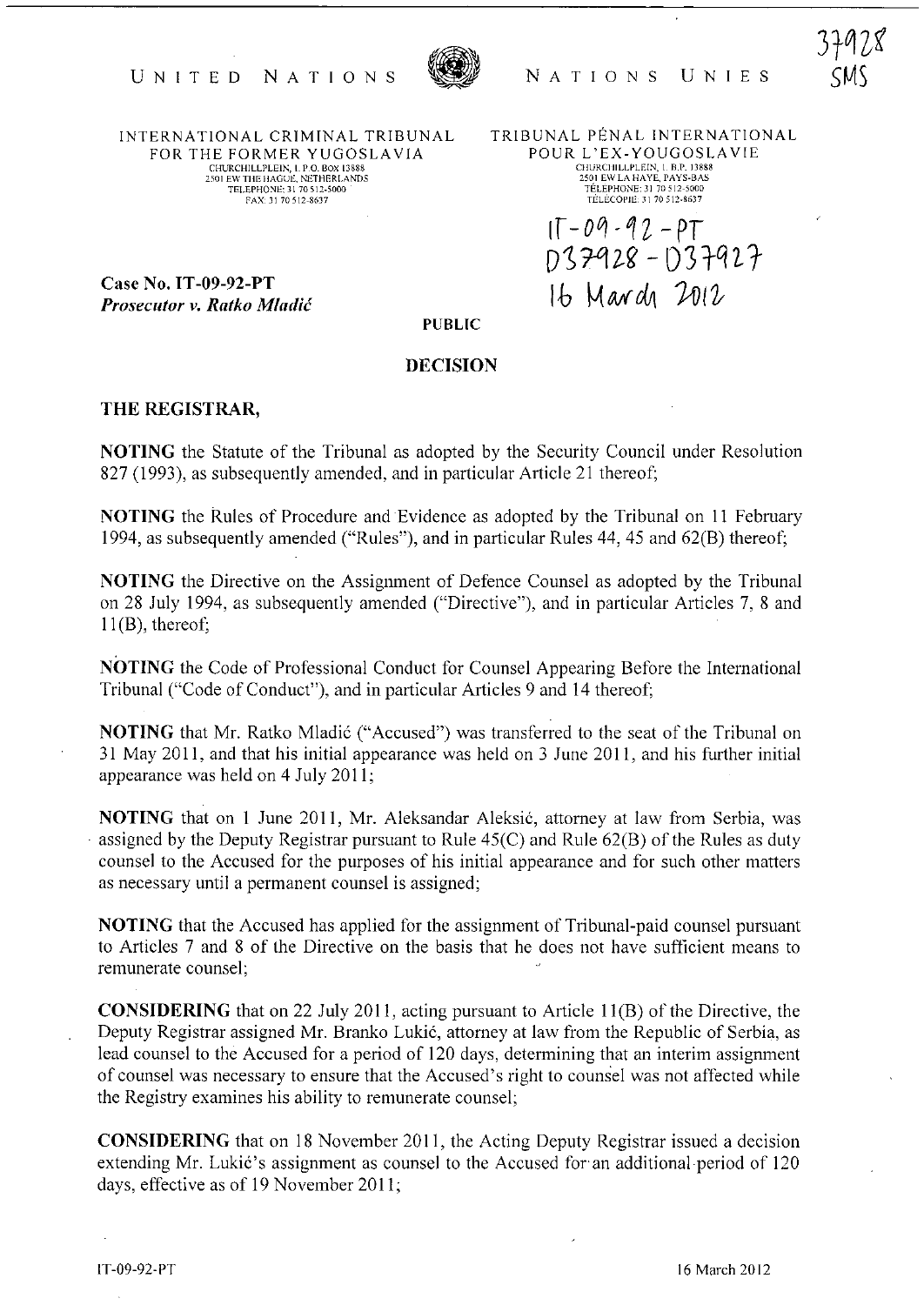

INTERNATIONAL CRIMINAL TRIBUNAL FOR THE FORMER YUGOSLAVIA CHURCHILLPLEIN, I. P.O. BOX 13888<br>2501 EW THE HAGUE, NETHERLANDS TELEPHONE: 31 70 512-5000 FAX: 31 70 512-8637

TRIBUNAL PENAL INTERNATIONAL POUR L'EX-YOUGOSLAVIE CHURCHILLPLEIN, 1. B.P. 13888<br>2501 EW LA HAYE, PAYS-BAS<br>TÉLÉPHONE: 31 70 512-5000 TELECOPJE.)1 70512-8637

Ir -Oq -1 *Z* - *PT*  $D37928 - D37927$ 16 March 2012

Case No. IT -09-92-PT **Prosecutor v. Ratko Mladić** 

PUBLIC

## DECISION

## THE REGISTRAR,

NOTING the Statute of the Tribunal as adopted by the Security Council under Resolution 827 (1993), as subsequently amended, and in particular Article 21 thereof;

NOTING the Rules of Procedure and Evidence as adopted by the Tribunal on 11 February 1994, as subsequently amended ("Rules"), and in particular Rules 44, 45 and 62(B) thereot;

NOTING the Directive on the Assignment of Defence Counsel as adopted by the Tribunal on 28 July 1994, as subsequently amended ("Directive"), and in particular Articles 7, 8 and 11(B), thereof;

NOTING the Code of Professional Conduct for Counsel Appearing Before the International Tribunal ("Code of Conduct"), and in particular Articles 9 and 14 thereof;

NOTING that Mr. Ratko Mladić ("Accused") was transferred to the seat of the Tribunal on 31 May 2011, and that his initial appearance was held on 3 June 2011, and his further initial appearance was held on 4 July 2011;

NOTING that on I June 2011, Mr. Aleksandar Aleksic, attorney at law from Serbia, was assigned by the Deputy Registrar pursuant to Rule  $45(C)$  and Rule  $62(B)$  of the Rules as duty counsel to the Accused for the purposes of his initial appearance and for such other matters as necessary until a permanent counsel is assigned;

NOTING that the Accused has applied for the assignment of Tribunal-paid counsel pursuant to Articles 7 and 8 of the Directive on the basis that he does not have sufficient means to remunerate counsel;

CONSIDERING that on 22 July 2011, acting pursuant to Article II(B) of the Directive, the Deputy Registrar assigned Mr. Branko Lukic, attorney at law from the Republic of Serbia, as lead counsel to the Accused for a period of 120 days, determining that an interim assignment of counsel was necessary to ensure that the Accused's right to counsel was not affected while the Registry examines his ability to remunerate counsel;

CONSIDERING that on 18 November 2011, the Acting Deputy Registrar issued a decision extending Mr. Lukić's assignment as counsel to the Accused for an additional period of 120 days, effective as of 19 November 2011;